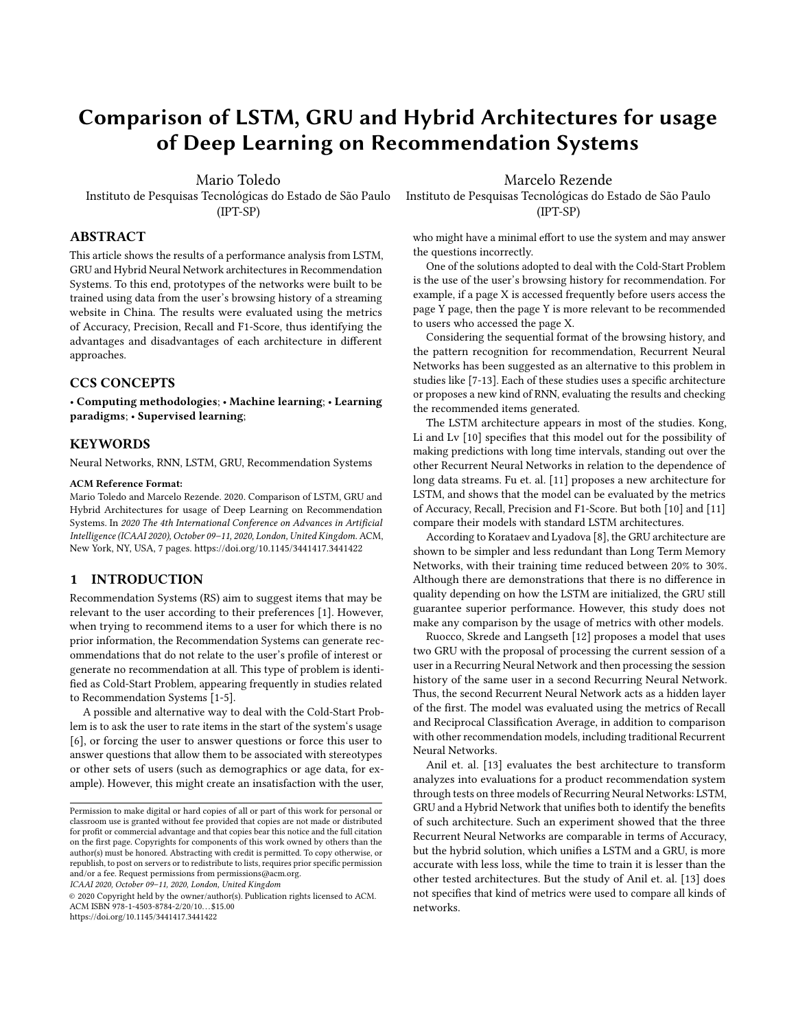# Comparison of LSTM, GRU and Hybrid Architectures for usage of Deep Learning on Recommendation Systems

Mario Toledo

Instituto de Pesquisas Tecnológicas do Estado de São Paulo (IPT-SP)

ABSTRACT

This article shows the results of a performance analysis from LSTM, GRU and Hybrid Neural Network architectures in Recommendation Systems. To this end, prototypes of the networks were built to be trained using data from the user's browsing history of a streaming website in China. The results were evaluated using the metrics of Accuracy, Precision, Recall and F1-Score, thus identifying the advantages and disadvantages of each architecture in different approaches.

# CCS CONCEPTS

• Computing methodologies; • Machine learning; • Learning paradigms; • Supervised learning;

# **KEYWORDS**

Neural Networks, RNN, LSTM, GRU, Recommendation Systems

### ACM Reference Format:

Mario Toledo and Marcelo Rezende. 2020. Comparison of LSTM, GRU and Hybrid Architectures for usage of Deep Learning on Recommendation Systems. In 2020 The 4th International Conference on Advances in Artificial Intelligence (ICAAI 2020), October 09–11, 2020, London, United Kingdom. ACM, New York, NY, USA, [7](#page-6-0) pages.<https://doi.org/10.1145/3441417.3441422>

# 1 INTRODUCTION

Recommendation Systems (RS) aim to suggest items that may be relevant to the user according to their preferences [\[1\]](#page-6-1). However, when trying to recommend items to a user for which there is no prior information, the Recommendation Systems can generate recommendations that do not relate to the user's profile of interest or generate no recommendation at all. This type of problem is identified as Cold-Start Problem, appearing frequently in studies related to Recommendation Systems [\[1](#page-6-1)[-5\]](#page-6-2).

A possible and alternative way to deal with the Cold-Start Problem is to ask the user to rate items in the start of the system's usage [\[6\]](#page-6-3), or forcing the user to answer questions or force this user to answer questions that allow them to be associated with stereotypes or other sets of users (such as demographics or age data, for example). However, this might create an insatisfaction with the user,

ICAAI 2020, October 09–11, 2020, London, United Kingdom

© 2020 Copyright held by the owner/author(s). Publication rights licensed to ACM. ACM ISBN 978-1-4503-8784-2/20/10. . . \$15.00 <https://doi.org/10.1145/3441417.3441422>

Marcelo Rezende

Instituto de Pesquisas Tecnológicas do Estado de São Paulo (IPT-SP)

who might have a minimal effort to use the system and may answer the questions incorrectly.

One of the solutions adopted to deal with the Cold-Start Problem is the use of the user's browsing history for recommendation. For example, if a page X is accessed frequently before users access the page Y page, then the page Y is more relevant to be recommended to users who accessed the page X.

Considering the sequential format of the browsing history, and the pattern recognition for recommendation, Recurrent Neural Networks has been suggested as an alternative to this problem in studies like [\[7-](#page-6-4)[13\]](#page-6-5). Each of these studies uses a specific architecture or proposes a new kind of RNN, evaluating the results and checking the recommended items generated.

The LSTM architecture appears in most of the studies. Kong, Li and Lv [\[10\]](#page-6-6) specifies that this model out for the possibility of making predictions with long time intervals, standing out over the other Recurrent Neural Networks in relation to the dependence of long data streams. Fu et. al. [\[11\]](#page-6-7) proposes a new architecture for LSTM, and shows that the model can be evaluated by the metrics of Accuracy, Recall, Precision and F1-Score. But both [\[10\]](#page-6-6) and [\[11\]](#page-6-7) compare their models with standard LSTM architectures.

According to Korataev and Lyadova [\[8\]](#page-6-8), the GRU architecture are shown to be simpler and less redundant than Long Term Memory Networks, with their training time reduced between 20% to 30%. Although there are demonstrations that there is no difference in quality depending on how the LSTM are initialized, the GRU still guarantee superior performance. However, this study does not make any comparison by the usage of metrics with other models.

Ruocco, Skrede and Langseth [\[12\]](#page-6-9) proposes a model that uses two GRU with the proposal of processing the current session of a user in a Recurring Neural Network and then processing the session history of the same user in a second Recurring Neural Network. Thus, the second Recurrent Neural Network acts as a hidden layer of the first. The model was evaluated using the metrics of Recall and Reciprocal Classification Average, in addition to comparison with other recommendation models, including traditional Recurrent Neural Networks.

Anil et. al. [\[13\]](#page-6-5) evaluates the best architecture to transform analyzes into evaluations for a product recommendation system through tests on three models of Recurring Neural Networks: LSTM, GRU and a Hybrid Network that unifies both to identify the benefits of such architecture. Such an experiment showed that the three Recurrent Neural Networks are comparable in terms of Accuracy, but the hybrid solution, which unifies a LSTM and a GRU, is more accurate with less loss, while the time to train it is lesser than the other tested architectures. But the study of Anil et. al. [\[13\]](#page-6-5) does not specifies that kind of metrics were used to compare all kinds of networks.

Permission to make digital or hard copies of all or part of this work for personal or classroom use is granted without fee provided that copies are not made or distributed for profit or commercial advantage and that copies bear this notice and the full citation on the first page. Copyrights for components of this work owned by others than the author(s) must be honored. Abstracting with credit is permitted. To copy otherwise, or republish, to post on servers or to redistribute to lists, requires prior specific permission and/or a fee. Request permissions from permissions@acm.org.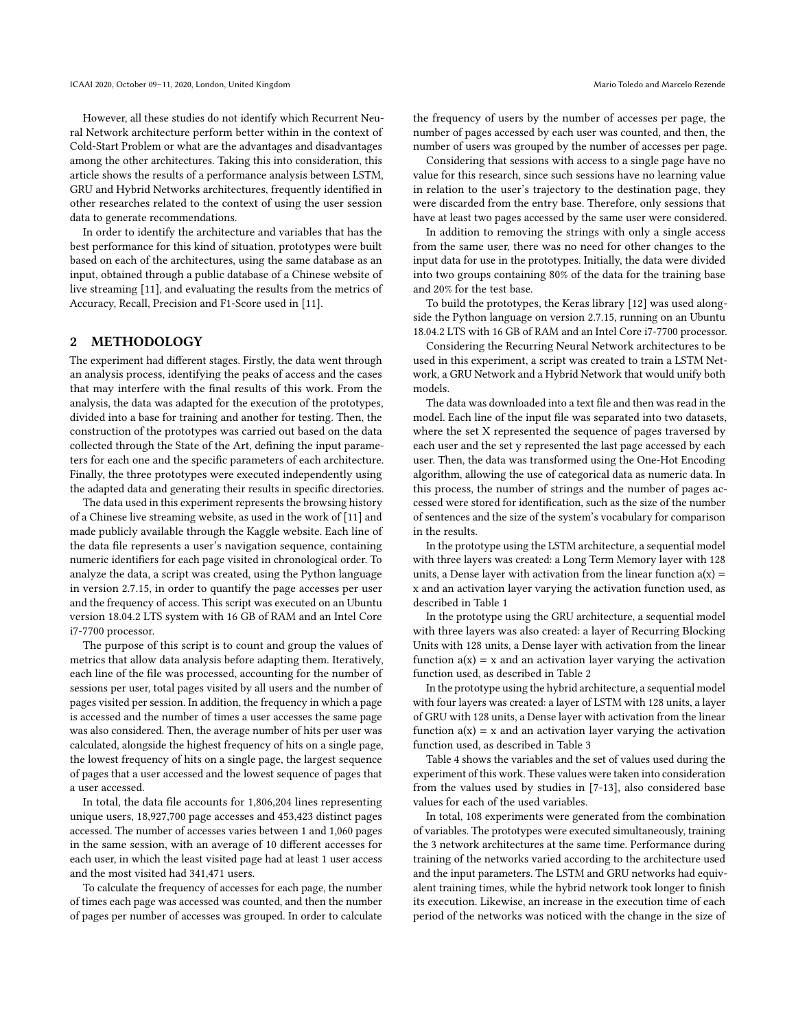However, all these studies do not identify which Recurrent Neural Network architecture perform better within in the context of Cold-Start Problem or what are the advantages and disadvantages among the other architectures. Taking this into consideration, this article shows the results of a performance analysis between LSTM, GRU and Hybrid Networks architectures, frequently identified in other researches related to the context of using the user session data to generate recommendations.

In order to identify the architecture and variables that has the best performance for this kind of situation, prototypes were built based on each of the architectures, using the same database as an input, obtained through a public database of a Chinese website of live streaming [\[11\]](#page-6-7), and evaluating the results from the metrics of Accuracy, Recall, Precision and F1-Score used in [\[11\]](#page-6-7).

# 2 METHODOLOGY

The experiment had different stages. Firstly, the data went through an analysis process, identifying the peaks of access and the cases that may interfere with the final results of this work. From the analysis, the data was adapted for the execution of the prototypes, divided into a base for training and another for testing. Then, the construction of the prototypes was carried out based on the data collected through the State of the Art, defining the input parameters for each one and the specific parameters of each architecture. Finally, the three prototypes were executed independently using the adapted data and generating their results in specific directories.

The data used in this experiment represents the browsing history of a Chinese live streaming website, as used in the work of [\[11\]](#page-6-7) and made publicly available through the Kaggle website. Each line of the data file represents a user's navigation sequence, containing numeric identifiers for each page visited in chronological order. To analyze the data, a script was created, using the Python language in version 2.7.15, in order to quantify the page accesses per user and the frequency of access. This script was executed on an Ubuntu version 18.04.2 LTS system with 16 GB of RAM and an Intel Core i7-7700 processor.

The purpose of this script is to count and group the values of metrics that allow data analysis before adapting them. Iteratively, each line of the file was processed, accounting for the number of sessions per user, total pages visited by all users and the number of pages visited per session. In addition, the frequency in which a page is accessed and the number of times a user accesses the same page was also considered. Then, the average number of hits per user was calculated, alongside the highest frequency of hits on a single page, the lowest frequency of hits on a single page, the largest sequence of pages that a user accessed and the lowest sequence of pages that a user accessed.

In total, the data file accounts for 1,806,204 lines representing unique users, 18,927,700 page accesses and 453,423 distinct pages accessed. The number of accesses varies between 1 and 1,060 pages in the same session, with an average of 10 different accesses for each user, in which the least visited page had at least 1 user access and the most visited had 341,471 users.

To calculate the frequency of accesses for each page, the number of times each page was accessed was counted, and then the number of pages per number of accesses was grouped. In order to calculate the frequency of users by the number of accesses per page, the number of pages accessed by each user was counted, and then, the number of users was grouped by the number of accesses per page.

Considering that sessions with access to a single page have no value for this research, since such sessions have no learning value in relation to the user's trajectory to the destination page, they were discarded from the entry base. Therefore, only sessions that have at least two pages accessed by the same user were considered.

In addition to removing the strings with only a single access from the same user, there was no need for other changes to the input data for use in the prototypes. Initially, the data were divided into two groups containing 80% of the data for the training base and 20% for the test base.

To build the prototypes, the Keras library [\[12\]](#page-6-9) was used alongside the Python language on version 2.7.15, running on an Ubuntu 18.04.2 LTS with 16 GB of RAM and an Intel Core i7-7700 processor.

Considering the Recurring Neural Network architectures to be used in this experiment, a script was created to train a LSTM Network, a GRU Network and a Hybrid Network that would unify both models.

The data was downloaded into a text file and then was read in the model. Each line of the input file was separated into two datasets, where the set X represented the sequence of pages traversed by each user and the set y represented the last page accessed by each user. Then, the data was transformed using the One-Hot Encoding algorithm, allowing the use of categorical data as numeric data. In this process, the number of strings and the number of pages accessed were stored for identification, such as the size of the number of sentences and the size of the system's vocabulary for comparison in the results.

In the prototype using the LSTM architecture, a sequential model with three layers was created: a Long Term Memory layer with 128 units, a Dense layer with activation from the linear function  $a(x) =$ x and an activation layer varying the activation function used, as described in Table [1](#page-2-0)

In the prototype using the GRU architecture, a sequential model with three layers was also created: a layer of Recurring Blocking Units with 128 units, a Dense layer with activation from the linear function  $a(x) = x$  and an activation layer varying the activation function used, as described in Table [2](#page-2-1)

In the prototype using the hybrid architecture, a sequential model with four layers was created: a layer of LSTM with 128 units, a layer of GRU with 128 units, a Dense layer with activation from the linear function  $a(x) = x$  and an activation layer varying the activation function used, as described in Table [3](#page-2-2)

Table [4](#page-2-3) shows the variables and the set of values used during the experiment of this work. These values were taken into consideration from the values used by studies in [\[7-](#page-6-4)[13\]](#page-6-5), also considered base values for each of the used variables.

In total, 108 experiments were generated from the combination of variables. The prototypes were executed simultaneously, training the 3 network architectures at the same time. Performance during training of the networks varied according to the architecture used and the input parameters. The LSTM and GRU networks had equivalent training times, while the hybrid network took longer to finish its execution. Likewise, an increase in the execution time of each period of the networks was noticed with the change in the size of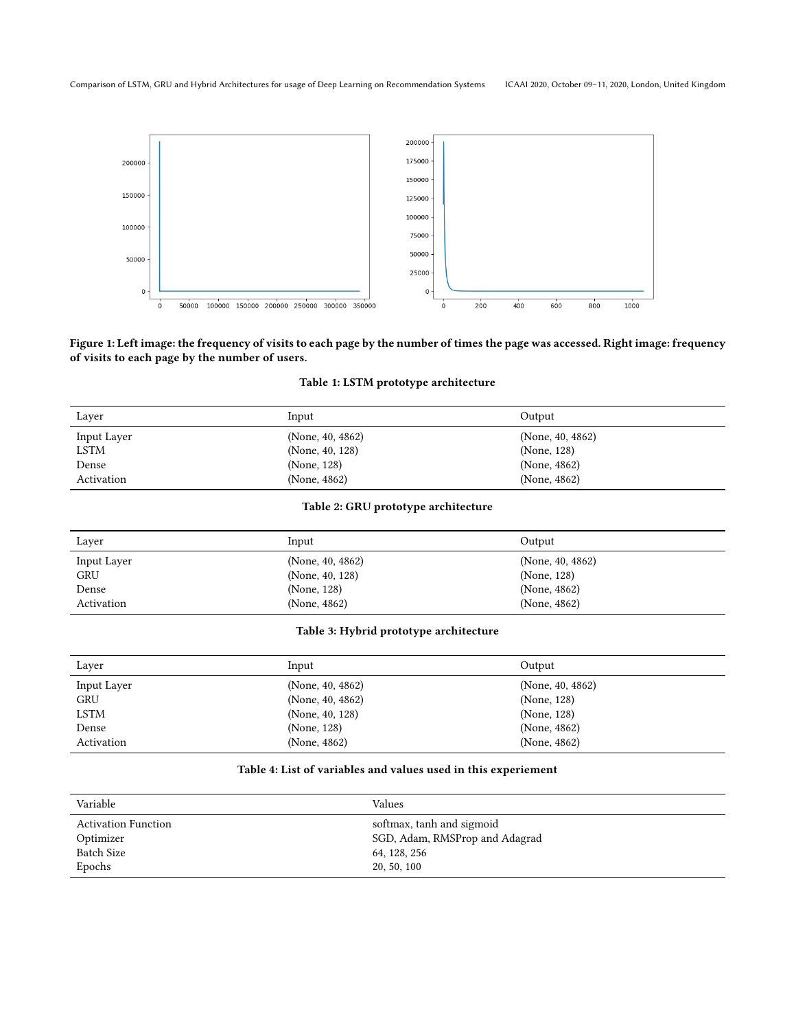<span id="page-2-4"></span>

# <span id="page-2-0"></span>Figure 1: Left image: the frequency of visits to each page by the number of times the page was accessed. Right image: frequency of visits to each page by the number of users.

# Table 1: LSTM prototype architecture

| Laver       | Input               | Output              |
|-------------|---------------------|---------------------|
| Input Layer | (None, $40, 4862$ ) | (None, $40, 4862$ ) |
| <b>LSTM</b> | (None, 40, 128)     | (None, 128)         |
| Dense       | (None, 128)         | (None, 4862)        |
| Activation  | (None, 4862)        | (None, 4862)        |

# Table 2: GRU prototype architecture

<span id="page-2-1"></span>

| Layer       | Input            | Output              |
|-------------|------------------|---------------------|
| Input Layer | (None, 40, 4862) | (None, $40, 4862$ ) |
| <b>GRU</b>  | (None, 40, 128)  | (None, 128)         |
| Dense       | (None, 128)      | (None, 4862)        |
| Activation  | (None, 4862)     | (None, 4862)        |

### Table 3: Hybrid prototype architecture

<span id="page-2-2"></span>

| Layer       | Input               | Output              |
|-------------|---------------------|---------------------|
| Input Layer | (None, 40, 4862)    | (None, $40, 4862$ ) |
| <b>GRU</b>  | (None, $40, 4862$ ) | (None, 128)         |
| <b>LSTM</b> | (None, 40, 128)     | (None, 128)         |
| Dense       | (None, 128)         | (None, 4862)        |
| Activation  | (None, 4862)        | (None, 4862)        |

# Table 4: List of variables and values used in this experiement

<span id="page-2-3"></span>

| Variable                   | Values                         |
|----------------------------|--------------------------------|
| <b>Activation Function</b> | softmax, tanh and sigmoid      |
| Optimizer                  | SGD, Adam, RMSProp and Adagrad |
| <b>Batch Size</b>          | 64, 128, 256                   |
| Epochs                     | 20, 50, 100                    |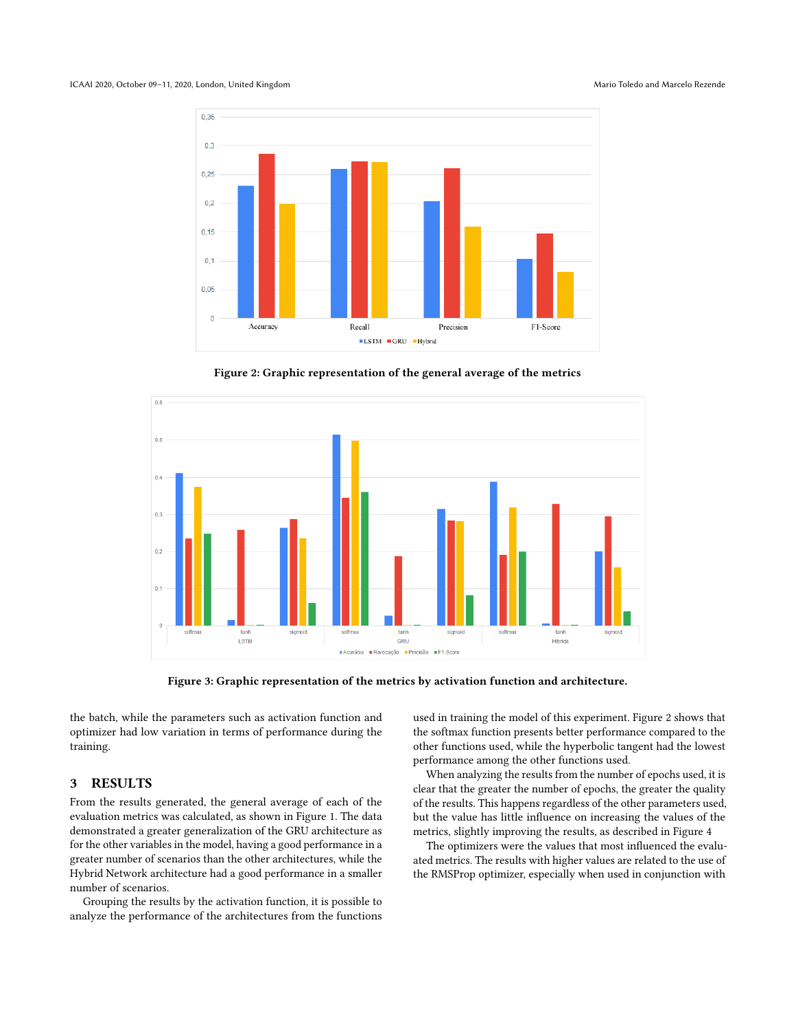#### <span id="page-3-0"></span>ICAAI 2020, October 09-11, 2020, London, United Kingdom Mario Toledo and Marcelo Rezende



Figure 2: Graphic representation of the general average of the metrics



Figure 3: Graphic representation of the metrics by activation function and architecture.

the batch, while the parameters such as activation function and optimizer had low variation in terms of performance during the training.

# 3 RESULTS

From the results generated, the general average of each of the evaluation metrics was calculated, as shown in Figure [1.](#page-2-4) The data demonstrated a greater generalization of the GRU architecture as for the other variables in the model, having a good performance in a greater number of scenarios than the other architectures, while the Hybrid Network architecture had a good performance in a smaller number of scenarios.

Grouping the results by the activation function, it is possible to analyze the performance of the architectures from the functions

used in training the model of this experiment. Figure [2](#page-3-0) shows that the softmax function presents better performance compared to the other functions used, while the hyperbolic tangent had the lowest performance among the other functions used.

When analyzing the results from the number of epochs used, it is clear that the greater the number of epochs, the greater the quality of the results. This happens regardless of the other parameters used, but the value has little influence on increasing the values of the metrics, slightly improving the results, as described in Figure [4](#page-4-0)

The optimizers were the values that most influenced the evaluated metrics. The results with higher values are related to the use of the RMSProp optimizer, especially when used in conjunction with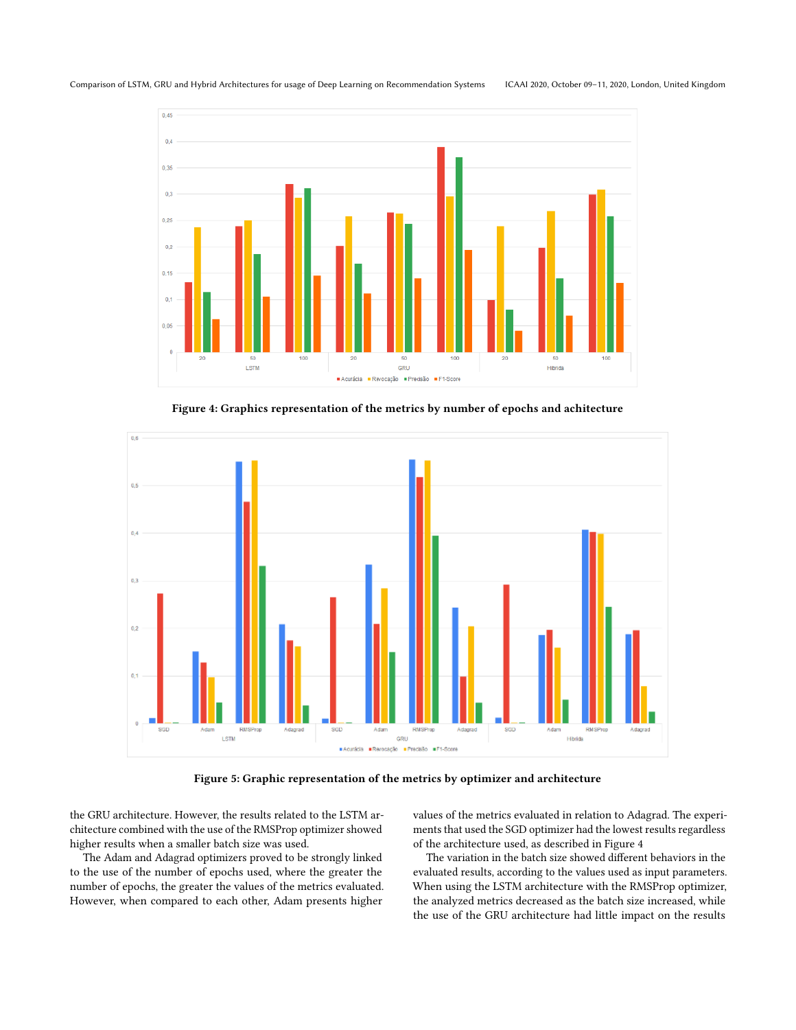<span id="page-4-0"></span>Comparison of LSTM, GRU and Hybrid Architectures for usage of Deep Learning on Recommendation Systems ICAAI 2020, October 09–11, 2020, London, United Kingdom



Figure 4: Graphics representation of the metrics by number of epochs and achitecture

<span id="page-4-1"></span>

Figure 5: Graphic representation of the metrics by optimizer and architecture

the GRU architecture. However, the results related to the LSTM architecture combined with the use of the RMSProp optimizer showed higher results when a smaller batch size was used.

The Adam and Adagrad optimizers proved to be strongly linked to the use of the number of epochs used, where the greater the number of epochs, the greater the values of the metrics evaluated. However, when compared to each other, Adam presents higher

values of the metrics evaluated in relation to Adagrad. The experiments that used the SGD optimizer had the lowest results regardless of the architecture used, as described in Figure [4](#page-4-0)

The variation in the batch size showed different behaviors in the evaluated results, according to the values used as input parameters. When using the LSTM architecture with the RMSProp optimizer, the analyzed metrics decreased as the batch size increased, while the use of the GRU architecture had little impact on the results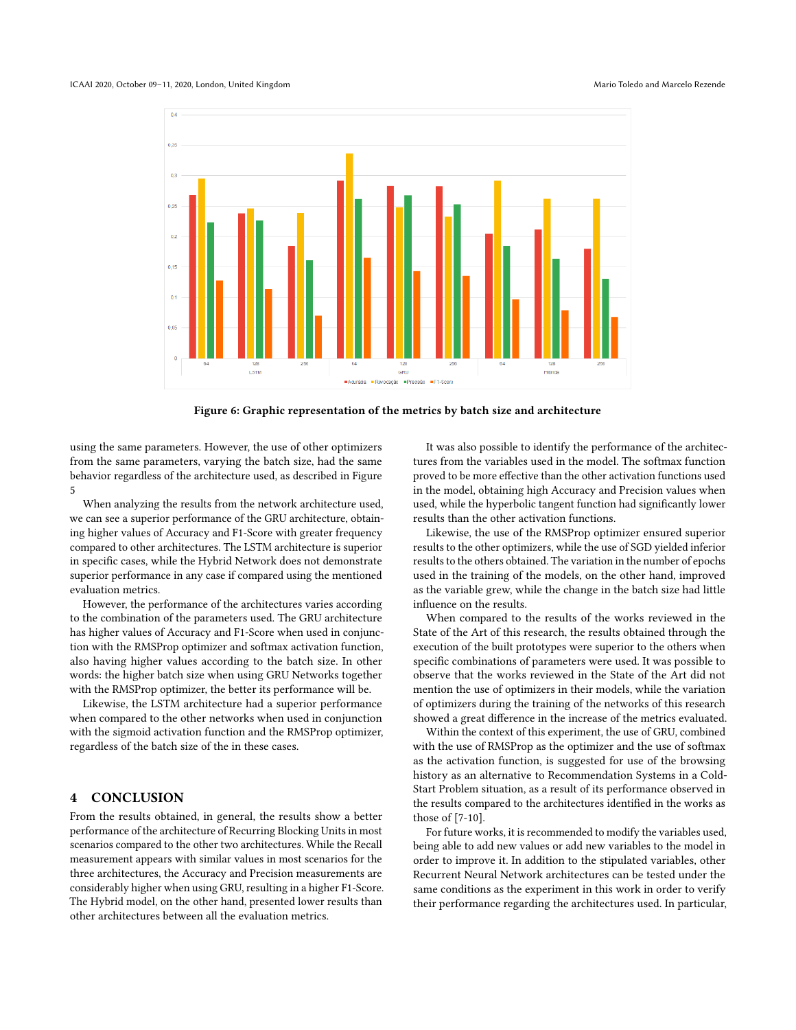

Figure 6: Graphic representation of the metrics by batch size and architecture

using the same parameters. However, the use of other optimizers from the same parameters, varying the batch size, had the same behavior regardless of the architecture used, as described in Figure [5](#page-4-1)

When analyzing the results from the network architecture used, we can see a superior performance of the GRU architecture, obtaining higher values of Accuracy and F1-Score with greater frequency compared to other architectures. The LSTM architecture is superior in specific cases, while the Hybrid Network does not demonstrate superior performance in any case if compared using the mentioned evaluation metrics.

However, the performance of the architectures varies according to the combination of the parameters used. The GRU architecture has higher values of Accuracy and F1-Score when used in conjunction with the RMSProp optimizer and softmax activation function, also having higher values according to the batch size. In other words: the higher batch size when using GRU Networks together with the RMSProp optimizer, the better its performance will be.

Likewise, the LSTM architecture had a superior performance when compared to the other networks when used in conjunction with the sigmoid activation function and the RMSProp optimizer, regardless of the batch size of the in these cases.

# 4 CONCLUSION

From the results obtained, in general, the results show a better performance of the architecture of Recurring Blocking Units in most scenarios compared to the other two architectures. While the Recall measurement appears with similar values in most scenarios for the three architectures, the Accuracy and Precision measurements are considerably higher when using GRU, resulting in a higher F1-Score. The Hybrid model, on the other hand, presented lower results than other architectures between all the evaluation metrics.

It was also possible to identify the performance of the architectures from the variables used in the model. The softmax function proved to be more effective than the other activation functions used in the model, obtaining high Accuracy and Precision values when used, while the hyperbolic tangent function had significantly lower results than the other activation functions.

Likewise, the use of the RMSProp optimizer ensured superior results to the other optimizers, while the use of SGD yielded inferior results to the others obtained. The variation in the number of epochs used in the training of the models, on the other hand, improved as the variable grew, while the change in the batch size had little influence on the results.

When compared to the results of the works reviewed in the State of the Art of this research, the results obtained through the execution of the built prototypes were superior to the others when specific combinations of parameters were used. It was possible to observe that the works reviewed in the State of the Art did not mention the use of optimizers in their models, while the variation of optimizers during the training of the networks of this research showed a great difference in the increase of the metrics evaluated.

Within the context of this experiment, the use of GRU, combined with the use of RMSProp as the optimizer and the use of softmax as the activation function, is suggested for use of the browsing history as an alternative to Recommendation Systems in a Cold-Start Problem situation, as a result of its performance observed in the results compared to the architectures identified in the works as those of [\[7-](#page-6-4)[10\]](#page-6-6).

For future works, it is recommended to modify the variables used, being able to add new values or add new variables to the model in order to improve it. In addition to the stipulated variables, other Recurrent Neural Network architectures can be tested under the same conditions as the experiment in this work in order to verify their performance regarding the architectures used. In particular,